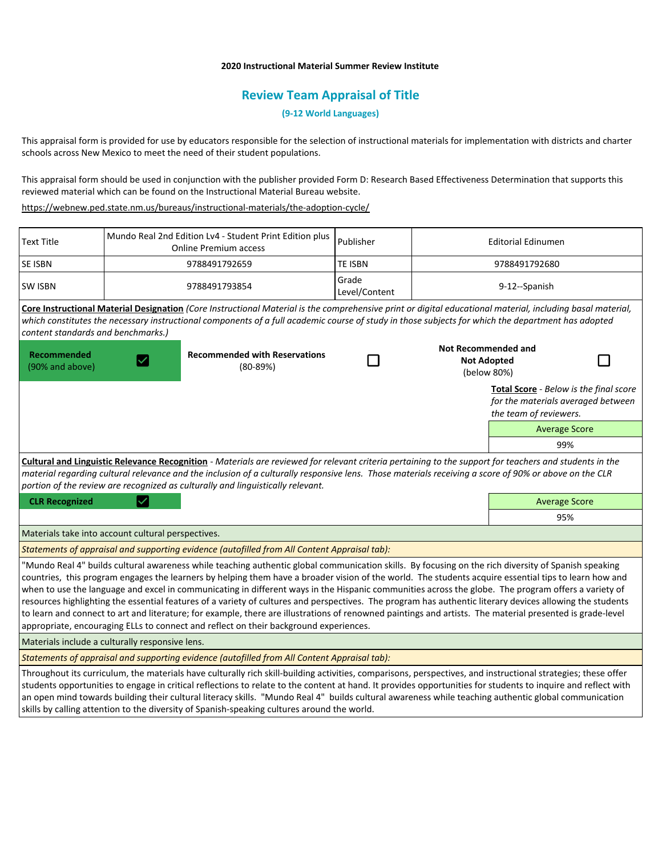## **2020 Instructional Material Summer Review Institute**

# **Review Team Appraisal of Title**

**(9-12 World Languages)**

This appraisal form is provided for use by educators responsible for the selection of instructional materials for implementation with districts and charter schools across New Mexico to meet the need of their student populations.

This appraisal form should be used in conjunction with the publisher provided Form D: Research Based Effectiveness Determination that supports this reviewed material which can be found on the Instructional Material Bureau website.

<https://webnew.ped.state.nm.us/bureaus/instructional-materials/the-adoption-cycle/>

| <b>Text Title</b>                                                                                                                                                                                                                                                                                                                                                                                   | Mundo Real 2nd Edition Lv4 - Student Print Edition plus<br><b>Online Premium access</b> |                                                                                                                                                                                                                                                                                                                                                                                                                                                                                                                                                                                                                                                                                                                                                                                                                                                                                         | Publisher              | <b>Editorial Edinumen</b>                        |                                                                                                        |  |
|-----------------------------------------------------------------------------------------------------------------------------------------------------------------------------------------------------------------------------------------------------------------------------------------------------------------------------------------------------------------------------------------------------|-----------------------------------------------------------------------------------------|-----------------------------------------------------------------------------------------------------------------------------------------------------------------------------------------------------------------------------------------------------------------------------------------------------------------------------------------------------------------------------------------------------------------------------------------------------------------------------------------------------------------------------------------------------------------------------------------------------------------------------------------------------------------------------------------------------------------------------------------------------------------------------------------------------------------------------------------------------------------------------------------|------------------------|--------------------------------------------------|--------------------------------------------------------------------------------------------------------|--|
| SE ISBN                                                                                                                                                                                                                                                                                                                                                                                             | 9788491792659                                                                           |                                                                                                                                                                                                                                                                                                                                                                                                                                                                                                                                                                                                                                                                                                                                                                                                                                                                                         | <b>TE ISBN</b>         | 9788491792680                                    |                                                                                                        |  |
| <b>SW ISBN</b>                                                                                                                                                                                                                                                                                                                                                                                      | 9788491793854                                                                           |                                                                                                                                                                                                                                                                                                                                                                                                                                                                                                                                                                                                                                                                                                                                                                                                                                                                                         | Grade<br>Level/Content | 9-12--Spanish                                    |                                                                                                        |  |
| content standards and benchmarks.)                                                                                                                                                                                                                                                                                                                                                                  |                                                                                         | Core Instructional Material Designation (Core Instructional Material is the comprehensive print or digital educational material, including basal material,<br>which constitutes the necessary instructional components of a full academic course of study in those subjects for which the department has adopted                                                                                                                                                                                                                                                                                                                                                                                                                                                                                                                                                                        |                        |                                                  |                                                                                                        |  |
| Recommended<br>(90% and above)                                                                                                                                                                                                                                                                                                                                                                      |                                                                                         | <b>Recommended with Reservations</b><br>$(80-89%)$                                                                                                                                                                                                                                                                                                                                                                                                                                                                                                                                                                                                                                                                                                                                                                                                                                      |                        | <b>Not Recommended and</b><br><b>Not Adopted</b> | (below 80%)                                                                                            |  |
|                                                                                                                                                                                                                                                                                                                                                                                                     |                                                                                         |                                                                                                                                                                                                                                                                                                                                                                                                                                                                                                                                                                                                                                                                                                                                                                                                                                                                                         |                        |                                                  | Total Score - Below is the final score<br>for the materials averaged between<br>the team of reviewers. |  |
|                                                                                                                                                                                                                                                                                                                                                                                                     |                                                                                         |                                                                                                                                                                                                                                                                                                                                                                                                                                                                                                                                                                                                                                                                                                                                                                                                                                                                                         |                        |                                                  | <b>Average Score</b>                                                                                   |  |
|                                                                                                                                                                                                                                                                                                                                                                                                     |                                                                                         |                                                                                                                                                                                                                                                                                                                                                                                                                                                                                                                                                                                                                                                                                                                                                                                                                                                                                         |                        |                                                  | 99%                                                                                                    |  |
| Cultural and Linguistic Relevance Recognition - Materials are reviewed for relevant criteria pertaining to the support for teachers and students in the<br>material regarding cultural relevance and the inclusion of a culturally responsive lens. Those materials receiving a score of 90% or above on the CLR<br>portion of the review are recognized as culturally and linguistically relevant. |                                                                                         |                                                                                                                                                                                                                                                                                                                                                                                                                                                                                                                                                                                                                                                                                                                                                                                                                                                                                         |                        |                                                  |                                                                                                        |  |
| <b>CLR Recognized</b>                                                                                                                                                                                                                                                                                                                                                                               |                                                                                         |                                                                                                                                                                                                                                                                                                                                                                                                                                                                                                                                                                                                                                                                                                                                                                                                                                                                                         |                        |                                                  | <b>Average Score</b>                                                                                   |  |
|                                                                                                                                                                                                                                                                                                                                                                                                     |                                                                                         |                                                                                                                                                                                                                                                                                                                                                                                                                                                                                                                                                                                                                                                                                                                                                                                                                                                                                         |                        |                                                  | 95%                                                                                                    |  |
| Materials take into account cultural perspectives.                                                                                                                                                                                                                                                                                                                                                  |                                                                                         |                                                                                                                                                                                                                                                                                                                                                                                                                                                                                                                                                                                                                                                                                                                                                                                                                                                                                         |                        |                                                  |                                                                                                        |  |
| Statements of appraisal and supporting evidence (autofilled from All Content Appraisal tab):                                                                                                                                                                                                                                                                                                        |                                                                                         |                                                                                                                                                                                                                                                                                                                                                                                                                                                                                                                                                                                                                                                                                                                                                                                                                                                                                         |                        |                                                  |                                                                                                        |  |
|                                                                                                                                                                                                                                                                                                                                                                                                     |                                                                                         | "Mundo Real 4" builds cultural awareness while teaching authentic global communication skills. By focusing on the rich diversity of Spanish speaking<br>countries, this program engages the learners by helping them have a broader vision of the world. The students acquire essential tips to learn how and<br>when to use the language and excel in communicating in different ways in the Hispanic communities across the globe. The program offers a variety of<br>resources highlighting the essential features of a variety of cultures and perspectives. The program has authentic literary devices allowing the students<br>to learn and connect to art and literature; for example, there are illustrations of renowned paintings and artists. The material presented is grade-level<br>appropriate, encouraging ELLs to connect and reflect on their background experiences. |                        |                                                  |                                                                                                        |  |
| Materials include a culturally responsive lens.                                                                                                                                                                                                                                                                                                                                                     |                                                                                         |                                                                                                                                                                                                                                                                                                                                                                                                                                                                                                                                                                                                                                                                                                                                                                                                                                                                                         |                        |                                                  |                                                                                                        |  |
| Statements of appraisal and supporting evidence (autofilled from All Content Appraisal tab):                                                                                                                                                                                                                                                                                                        |                                                                                         |                                                                                                                                                                                                                                                                                                                                                                                                                                                                                                                                                                                                                                                                                                                                                                                                                                                                                         |                        |                                                  |                                                                                                        |  |
|                                                                                                                                                                                                                                                                                                                                                                                                     |                                                                                         | Throughout its curriculum, the materials have culturally rich skill-building activities, comparisons, perspectives, and instructional strategies; these offer<br>students opportunities to engage in critical reflections to relate to the content at hand. It provides opportunities for students to inquire and reflect with<br>an open mind towards building their cultural literacy skills. "Mundo Real 4" builds cultural awareness while teaching authentic global communication<br>skills by calling attention to the diversity of Spanish-speaking cultures around the world.                                                                                                                                                                                                                                                                                                   |                        |                                                  |                                                                                                        |  |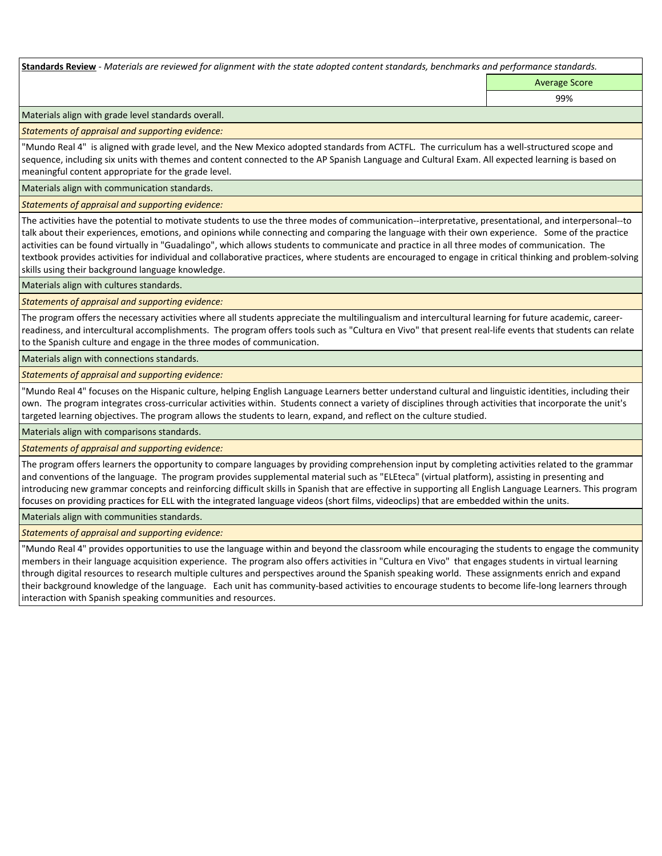**Standards Review** *- Materials are reviewed for alignment with the state adopted content standards, benchmarks and performance standards.*

Average Score

99%

Materials align with grade level standards overall.

*Statements of appraisal and supporting evidence:* 

"Mundo Real 4" is aligned with grade level, and the New Mexico adopted standards from ACTFL. The curriculum has a well-structured scope and sequence, including six units with themes and content connected to the AP Spanish Language and Cultural Exam. All expected learning is based on meaningful content appropriate for the grade level.

Materials align with communication standards.

*Statements of appraisal and supporting evidence:* 

The activities have the potential to motivate students to use the three modes of communication--interpretative, presentational, and interpersonal--to talk about their experiences, emotions, and opinions while connecting and comparing the language with their own experience. Some of the practice activities can be found virtually in "Guadalingo", which allows students to communicate and practice in all three modes of communication. The textbook provides activities for individual and collaborative practices, where students are encouraged to engage in critical thinking and problem-solving skills using their background language knowledge.

Materials align with cultures standards.

*Statements of appraisal and supporting evidence:* 

The program offers the necessary activities where all students appreciate the multilingualism and intercultural learning for future academic, careerreadiness, and intercultural accomplishments. The program offers tools such as "Cultura en Vivo" that present real-life events that students can relate to the Spanish culture and engage in the three modes of communication.

Materials align with connections standards.

*Statements of appraisal and supporting evidence:* 

"Mundo Real 4" focuses on the Hispanic culture, helping English Language Learners better understand cultural and linguistic identities, including their own. The program integrates cross-curricular activities within. Students connect a variety of disciplines through activities that incorporate the unit's targeted learning objectives. The program allows the students to learn, expand, and reflect on the culture studied.

Materials align with comparisons standards.

*Statements of appraisal and supporting evidence:* 

The program offers learners the opportunity to compare languages by providing comprehension input by completing activities related to the grammar and conventions of the language. The program provides supplemental material such as "ELEteca" (virtual platform), assisting in presenting and introducing new grammar concepts and reinforcing difficult skills in Spanish that are effective in supporting all English Language Learners. This program focuses on providing practices for ELL with the integrated language videos (short films, videoclips) that are embedded within the units.

Materials align with communities standards.

*Statements of appraisal and supporting evidence:* 

"Mundo Real 4" provides opportunities to use the language within and beyond the classroom while encouraging the students to engage the community members in their language acquisition experience. The program also offers activities in "Cultura en Vivo" that engages students in virtual learning through digital resources to research multiple cultures and perspectives around the Spanish speaking world. These assignments enrich and expand their background knowledge of the language. Each unit has community-based activities to encourage students to become life-long learners through interaction with Spanish speaking communities and resources.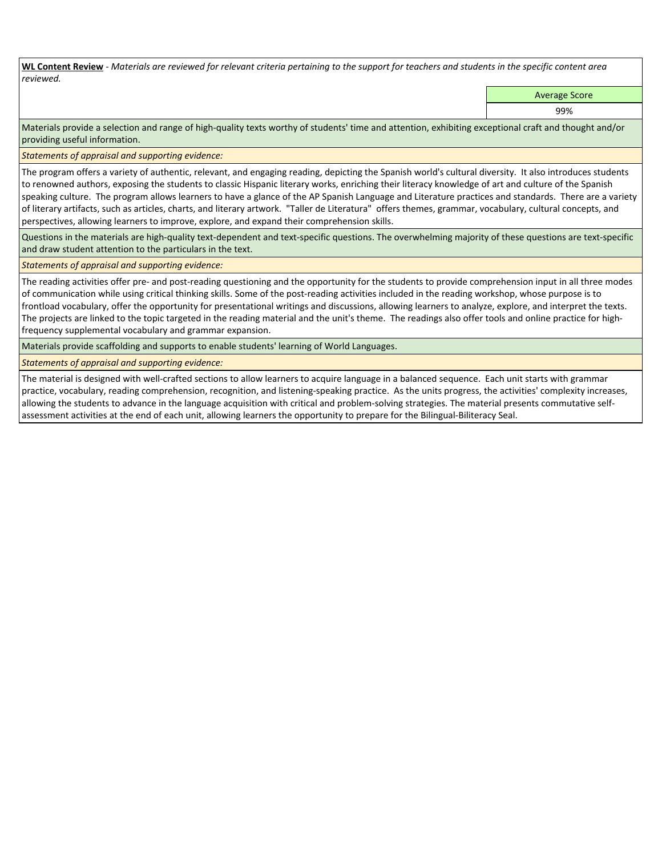**WL Content Review** *- Materials are reviewed for relevant criteria pertaining to the support for teachers and students in the specific content area reviewed.*

Average Score

99%

Materials provide a selection and range of high-quality texts worthy of students' time and attention, exhibiting exceptional craft and thought and/or providing useful information.

*Statements of appraisal and supporting evidence:* 

The program offers a variety of authentic, relevant, and engaging reading, depicting the Spanish world's cultural diversity. It also introduces students to renowned authors, exposing the students to classic Hispanic literary works, enriching their literacy knowledge of art and culture of the Spanish speaking culture. The program allows learners to have a glance of the AP Spanish Language and Literature practices and standards. There are a variety of literary artifacts, such as articles, charts, and literary artwork. "Taller de Literatura" offers themes, grammar, vocabulary, cultural concepts, and perspectives, allowing learners to improve, explore, and expand their comprehension skills.

Questions in the materials are high-quality text-dependent and text-specific questions. The overwhelming majority of these questions are text-specific and draw student attention to the particulars in the text.

*Statements of appraisal and supporting evidence:* 

The reading activities offer pre- and post-reading questioning and the opportunity for the students to provide comprehension input in all three modes of communication while using critical thinking skills. Some of the post-reading activities included in the reading workshop, whose purpose is to frontload vocabulary, offer the opportunity for presentational writings and discussions, allowing learners to analyze, explore, and interpret the texts. The projects are linked to the topic targeted in the reading material and the unit's theme. The readings also offer tools and online practice for highfrequency supplemental vocabulary and grammar expansion.

Materials provide scaffolding and supports to enable students' learning of World Languages.

*Statements of appraisal and supporting evidence:* 

The material is designed with well-crafted sections to allow learners to acquire language in a balanced sequence. Each unit starts with grammar practice, vocabulary, reading comprehension, recognition, and listening-speaking practice. As the units progress, the activities' complexity increases, allowing the students to advance in the language acquisition with critical and problem-solving strategies. The material presents commutative selfassessment activities at the end of each unit, allowing learners the opportunity to prepare for the Bilingual-Biliteracy Seal.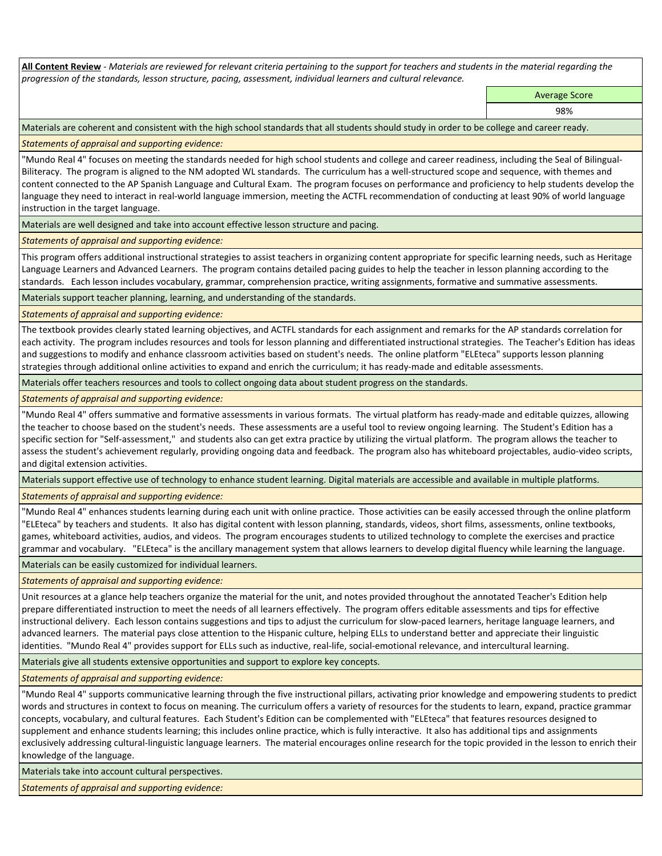**All Content Review** *- Materials are reviewed for relevant criteria pertaining to the support for teachers and students in the material regarding the progression of the standards, lesson structure, pacing, assessment, individual learners and cultural relevance.*

Average Score

98%

Materials are coherent and consistent with the high school standards that all students should study in order to be college and career ready.

*Statements of appraisal and supporting evidence:*

"Mundo Real 4" focuses on meeting the standards needed for high school students and college and career readiness, including the Seal of Bilingual-Biliteracy. The program is aligned to the NM adopted WL standards. The curriculum has a well-structured scope and sequence, with themes and content connected to the AP Spanish Language and Cultural Exam. The program focuses on performance and proficiency to help students develop the language they need to interact in real-world language immersion, meeting the ACTFL recommendation of conducting at least 90% of world language instruction in the target language.

Materials are well designed and take into account effective lesson structure and pacing.

*Statements of appraisal and supporting evidence:*

This program offers additional instructional strategies to assist teachers in organizing content appropriate for specific learning needs, such as Heritage Language Learners and Advanced Learners. The program contains detailed pacing guides to help the teacher in lesson planning according to the standards. Each lesson includes vocabulary, grammar, comprehension practice, writing assignments, formative and summative assessments.

Materials support teacher planning, learning, and understanding of the standards.

*Statements of appraisal and supporting evidence:*

The textbook provides clearly stated learning objectives, and ACTFL standards for each assignment and remarks for the AP standards correlation for each activity. The program includes resources and tools for lesson planning and differentiated instructional strategies. The Teacher's Edition has ideas and suggestions to modify and enhance classroom activities based on student's needs. The online platform "ELEteca" supports lesson planning strategies through additional online activities to expand and enrich the curriculum; it has ready-made and editable assessments.

Materials offer teachers resources and tools to collect ongoing data about student progress on the standards.

*Statements of appraisal and supporting evidence:*

"Mundo Real 4" offers summative and formative assessments in various formats. The virtual platform has ready-made and editable quizzes, allowing the teacher to choose based on the student's needs. These assessments are a useful tool to review ongoing learning. The Student's Edition has a specific section for "Self-assessment," and students also can get extra practice by utilizing the virtual platform. The program allows the teacher to assess the student's achievement regularly, providing ongoing data and feedback. The program also has whiteboard projectables, audio-video scripts, and digital extension activities.

Materials support effective use of technology to enhance student learning. Digital materials are accessible and available in multiple platforms.

*Statements of appraisal and supporting evidence:*

"Mundo Real 4" enhances students learning during each unit with online practice. Those activities can be easily accessed through the online platform "ELEteca" by teachers and students. It also has digital content with lesson planning, standards, videos, short films, assessments, online textbooks, games, whiteboard activities, audios, and videos. The program encourages students to utilized technology to complete the exercises and practice grammar and vocabulary. "ELEteca" is the ancillary management system that allows learners to develop digital fluency while learning the language.

Materials can be easily customized for individual learners.

*Statements of appraisal and supporting evidence:* 

Unit resources at a glance help teachers organize the material for the unit, and notes provided throughout the annotated Teacher's Edition help prepare differentiated instruction to meet the needs of all learners effectively. The program offers editable assessments and tips for effective instructional delivery. Each lesson contains suggestions and tips to adjust the curriculum for slow-paced learners, heritage language learners, and advanced learners. The material pays close attention to the Hispanic culture, helping ELLs to understand better and appreciate their linguistic identities. "Mundo Real 4" provides support for ELLs such as inductive, real-life, social-emotional relevance, and intercultural learning.

Materials give all students extensive opportunities and support to explore key concepts.

*Statements of appraisal and supporting evidence:*

"Mundo Real 4" supports communicative learning through the five instructional pillars, activating prior knowledge and empowering students to predict words and structures in context to focus on meaning. The curriculum offers a variety of resources for the students to learn, expand, practice grammar concepts, vocabulary, and cultural features. Each Student's Edition can be complemented with "ELEteca" that features resources designed to supplement and enhance students learning; this includes online practice, which is fully interactive. It also has additional tips and assignments exclusively addressing cultural-linguistic language learners. The material encourages online research for the topic provided in the lesson to enrich their knowledge of the language.

Materials take into account cultural perspectives.

*Statements of appraisal and supporting evidence:*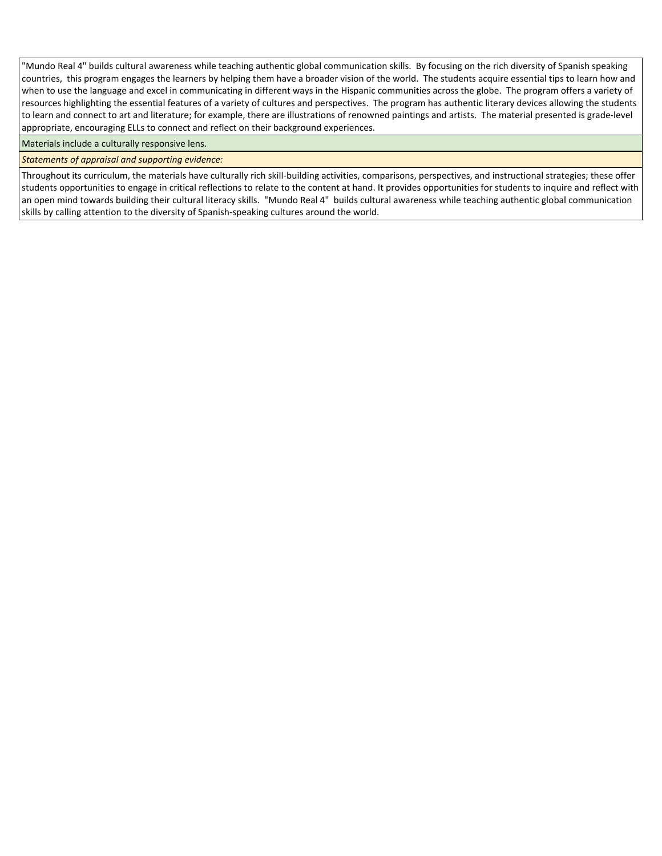"Mundo Real 4" builds cultural awareness while teaching authentic global communication skills. By focusing on the rich diversity of Spanish speaking countries, this program engages the learners by helping them have a broader vision of the world. The students acquire essential tips to learn how and when to use the language and excel in communicating in different ways in the Hispanic communities across the globe. The program offers a variety of resources highlighting the essential features of a variety of cultures and perspectives. The program has authentic literary devices allowing the students to learn and connect to art and literature; for example, there are illustrations of renowned paintings and artists. The material presented is grade-level appropriate, encouraging ELLs to connect and reflect on their background experiences.

Materials include a culturally responsive lens.

*Statements of appraisal and supporting evidence:*

Throughout its curriculum, the materials have culturally rich skill-building activities, comparisons, perspectives, and instructional strategies; these offer students opportunities to engage in critical reflections to relate to the content at hand. It provides opportunities for students to inquire and reflect with an open mind towards building their cultural literacy skills. "Mundo Real 4" builds cultural awareness while teaching authentic global communication skills by calling attention to the diversity of Spanish-speaking cultures around the world.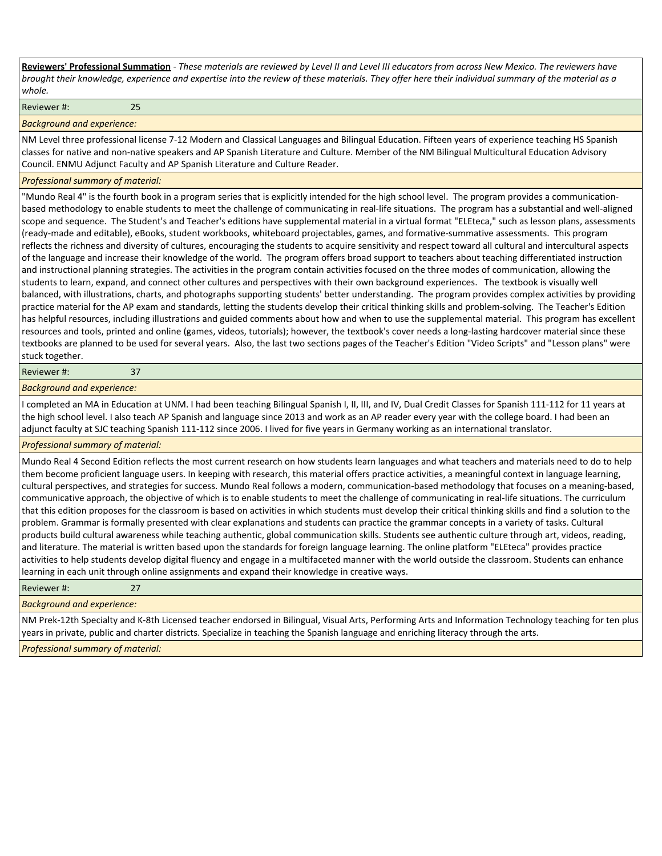**Reviewers' Professional Summation** *- These materials are reviewed by Level II and Level III educators from across New Mexico. The reviewers have brought their knowledge, experience and expertise into the review of these materials. They offer here their individual summary of the material as a whole.*

Reviewer #: 25

*Background and experience:*

NM Level three professional license 7-12 Modern and Classical Languages and Bilingual Education. Fifteen years of experience teaching HS Spanish classes for native and non-native speakers and AP Spanish Literature and Culture. Member of the NM Bilingual Multicultural Education Advisory Council. ENMU Adjunct Faculty and AP Spanish Literature and Culture Reader.

#### *Professional summary of material:*

"Mundo Real 4" is the fourth book in a program series that is explicitly intended for the high school level. The program provides a communicationbased methodology to enable students to meet the challenge of communicating in real-life situations. The program has a substantial and well-aligned scope and sequence. The Student's and Teacher's editions have supplemental material in a virtual format "ELEteca," such as lesson plans, assessments (ready-made and editable), eBooks, student workbooks, whiteboard projectables, games, and formative-summative assessments. This program reflects the richness and diversity of cultures, encouraging the students to acquire sensitivity and respect toward all cultural and intercultural aspects of the language and increase their knowledge of the world. The program offers broad support to teachers about teaching differentiated instruction and instructional planning strategies. The activities in the program contain activities focused on the three modes of communication, allowing the students to learn, expand, and connect other cultures and perspectives with their own background experiences. The textbook is visually well balanced, with illustrations, charts, and photographs supporting students' better understanding. The program provides complex activities by providing practice material for the AP exam and standards, letting the students develop their critical thinking skills and problem-solving. The Teacher's Edition has helpful resources, including illustrations and guided comments about how and when to use the supplemental material. This program has excellent resources and tools, printed and online (games, videos, tutorials); however, the textbook's cover needs a long-lasting hardcover material since these textbooks are planned to be used for several years. Also, the last two sections pages of the Teacher's Edition "Video Scripts" and "Lesson plans" were stuck together.

### Reviewer #: 37

*Background and experience:*

I completed an MA in Education at UNM. I had been teaching Bilingual Spanish I, II, III, and IV, Dual Credit Classes for Spanish 111-112 for 11 years at the high school level. I also teach AP Spanish and language since 2013 and work as an AP reader every year with the college board. I had been an adjunct faculty at SJC teaching Spanish 111-112 since 2006. I lived for five years in Germany working as an international translator.

## *Professional summary of material:*

Mundo Real 4 Second Edition reflects the most current research on how students learn languages and what teachers and materials need to do to help them become proficient language users. In keeping with research, this material offers practice activities, a meaningful context in language learning, cultural perspectives, and strategies for success. Mundo Real follows a modern, communication-based methodology that focuses on a meaning-based, communicative approach, the objective of which is to enable students to meet the challenge of communicating in real-life situations. The curriculum that this edition proposes for the classroom is based on activities in which students must develop their critical thinking skills and find a solution to the problem. Grammar is formally presented with clear explanations and students can practice the grammar concepts in a variety of tasks. Cultural products build cultural awareness while teaching authentic, global communication skills. Students see authentic culture through art, videos, reading, and literature. The material is written based upon the standards for foreign language learning. The online platform "ELEteca" provides practice activities to help students develop digital fluency and engage in a multifaceted manner with the world outside the classroom. Students can enhance learning in each unit through online assignments and expand their knowledge in creative ways.

Reviewer #: 27

#### *Background and experience:*

NM Prek-12th Specialty and K-8th Licensed teacher endorsed in Bilingual, Visual Arts, Performing Arts and Information Technology teaching for ten plus years in private, public and charter districts. Specialize in teaching the Spanish language and enriching literacy through the arts.

*Professional summary of material:*